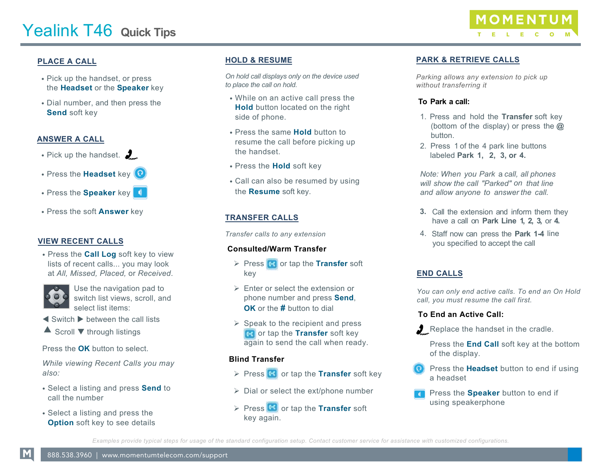# **Yealink T48 Quick Tips**

## $3/8$ %

- .31 K K WKKDQHW RISHVV WKHeadset or the Speaker key
- $\cdot$  |  $D$  $O$  $R$  $F$  $H$  $D$  $G$ **WKHSHVV WKH** Send soft key
- $\cdot$  3LN X WKKDQ HW $\frac{2}{2}$
- · 3UVV WKHHDGHWNH\<sup>Q</sup>
- 3UVV WKKSHDNHNH
- · 3UVV WKB QZU VRIWNH\

#### **IEW RECENT CALLS**

• 3 HVV WKIDOORJ Voft key to view lists of recent calls... you may look at All, Missed, Placed, or Received.



Use the navigation pad to switch list views, scroll, and select list items:

t Switch u between the call lists Scroll through listings

Press the OK button to select.

While viewing Recent Calls you may also:

- 6HOHEVDOLVWLOOSHVV6HQVR **DOOWKIHnber**
- 6HOHEVDOLVWLOQHVVWKH 2SWLRQRIVKey to see details

# HOLD RESUME

On hold call displays only on the device used to place the call on hold.

- : KLOHRQDQD FVLYBO SU VVWKH +RO Coutton located on the right side of phone.
- 3 HVV WKMDPH + RO Coutton to resume the call before picking up the handset.
- Press the Hold soft key
- & O (B) Q DO VERH H V RH G F V 10 WKBHVRH soft key.

# **TRANSFER CALLS**

Transfer calls to any extension

## Consulted/Warm Transfer

Press **Co** or tap the Transfer soft key

Enter or select the extension or phone number and press Send, OK or the # button to dial

Speak to the recipient and press **R** or tap the Transfer soft key again to send the call when ready.

#### **Blind Transfer**



Dial or select the ext/phone number

Press<sup>c</sup> or tap the Transfer soft key again.



# PARK RETRIE E CALLS

Parking allows any extension to pick up without transferring it

#### To Park a call:

- 1. Press and hold the Transfer soft key (bottom of the display) or press the  $@$ button.
- 2. Press 1 of the 4 park line buttons labeled Park 1, 2, 3, or 4.

Note: When you Park a call, all phones will show the call Parked on that line and allow anyone to answer the call.

- 3. Call the extension and inform them they have a call on Park Line 1, 2, 3, or 4.
- 4. Staff now can press the Park 1-4 line you specified to accept the call

#### **END CALLS**

You can only end active calls. To end an On Hold call, you must resume the call first.

#### To End an Active Call:

Replace the handset in the cradle.

Press the End Call soft key at the bottom of the display.

- Press the Headset button to end if using a headset
- Press the Speaker button to end if using speakerphone